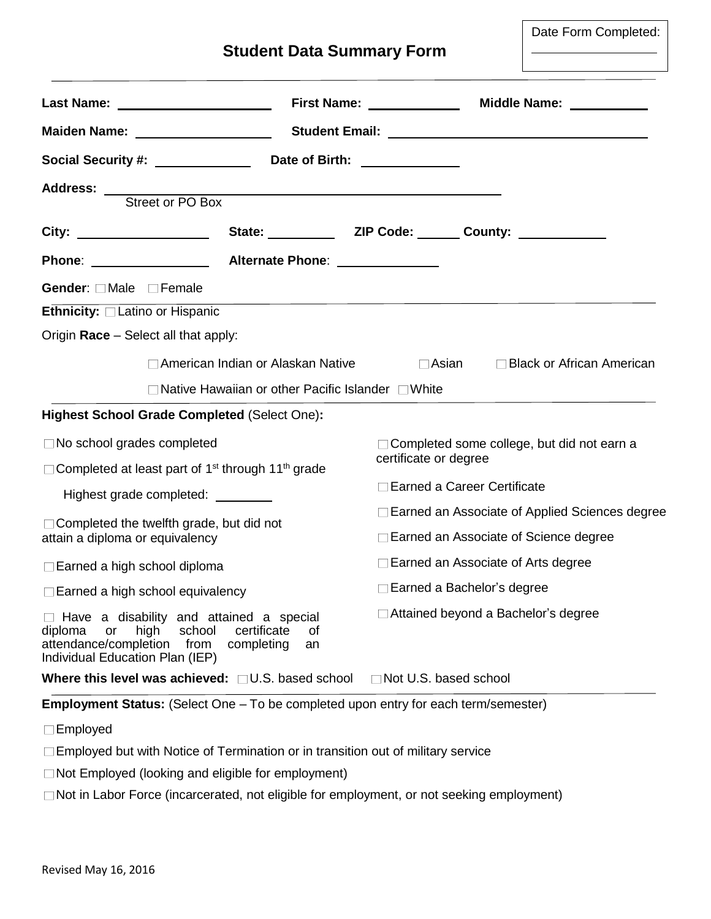|  |  |  | <b>Student Data Summary Form</b> |  |
|--|--|--|----------------------------------|--|
|--|--|--|----------------------------------|--|

Date Form Completed:

|                                                                                                                                                 |                                                     |                                           | Middle Name: <u>____________</u>                                                                                       |  |
|-------------------------------------------------------------------------------------------------------------------------------------------------|-----------------------------------------------------|-------------------------------------------|------------------------------------------------------------------------------------------------------------------------|--|
| Maiden Name: ____________________                                                                                                               |                                                     |                                           |                                                                                                                        |  |
| Social Security #: \\espirit_\\espirit_\                                                                                                        |                                                     | Date of Birth: ______________             |                                                                                                                        |  |
|                                                                                                                                                 |                                                     |                                           |                                                                                                                        |  |
| Address: Street or PO Box                                                                                                                       |                                                     |                                           |                                                                                                                        |  |
| City: ____________________                                                                                                                      |                                                     |                                           |                                                                                                                        |  |
| Phone: ________________                                                                                                                         | Alternate Phone: 2008                               |                                           |                                                                                                                        |  |
| Gender: □ Male □ Female                                                                                                                         |                                                     |                                           |                                                                                                                        |  |
| Ethnicity: Latino or Hispanic                                                                                                                   |                                                     |                                           | <u> 1989 - Jan Samuel Barbara, margaret a shekara 1989 - An tsaran a shekara tsaran 1989 - An tsaran 1980 - An tsa</u> |  |
| Origin Race - Select all that apply:                                                                                                            |                                                     |                                           |                                                                                                                        |  |
|                                                                                                                                                 | American Indian or Alaskan Native                   |                                           | □ Asian □ Black or African American                                                                                    |  |
|                                                                                                                                                 | □ Native Hawaiian or other Pacific Islander □ White |                                           |                                                                                                                        |  |
| <b>Highest School Grade Completed (Select One):</b>                                                                                             |                                                     |                                           |                                                                                                                        |  |
| $\Box$ No school grades completed                                                                                                               |                                                     |                                           | □ Completed some college, but did not earn a                                                                           |  |
| □ Completed at least part of 1 <sup>st</sup> through 11 <sup>th</sup> grade                                                                     |                                                     | certificate or degree                     |                                                                                                                        |  |
| Highest grade completed: ________                                                                                                               |                                                     |                                           | □ Earned a Career Certificate                                                                                          |  |
| □ Completed the twelfth grade, but did not                                                                                                      |                                                     |                                           | □ Earned an Associate of Applied Sciences degree                                                                       |  |
| attain a diploma or equivalency                                                                                                                 |                                                     |                                           | □ Earned an Associate of Science degree                                                                                |  |
| $\Box$ Earned a high school diploma                                                                                                             |                                                     | $\Box$ Earned an Associate of Arts degree |                                                                                                                        |  |
| Earned a high school equivalency                                                                                                                |                                                     | $\Box$ Earned a Bachelor's degree         |                                                                                                                        |  |
| Have a disability and attained a special<br>diploma<br>high<br>school<br>or<br>attendance/completion<br>from<br>Individual Education Plan (IEP) | certificate<br>οf<br>completing<br>an               | □ Attained beyond a Bachelor's degree     |                                                                                                                        |  |
| Where this level was achieved: $\Box$ U.S. based school                                                                                         |                                                     |                                           | Not U.S. based school                                                                                                  |  |
| <b>Employment Status:</b> (Select One – To be completed upon entry for each term/semester)                                                      |                                                     |                                           |                                                                                                                        |  |
| Employed                                                                                                                                        |                                                     |                                           |                                                                                                                        |  |

Employed but with Notice of Termination or in transition out of military service

Not Employed (looking and eligible for employment)

Not in Labor Force (incarcerated, not eligible for employment, or not seeking employment)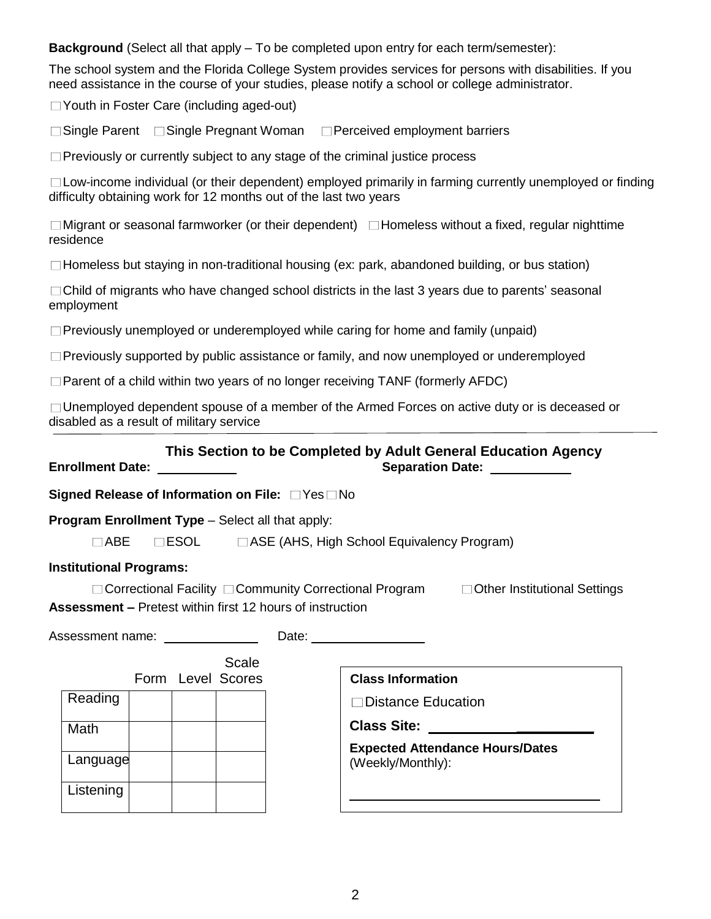**Background** (Select all that apply – To be completed upon entry for each term/semester):

The school system and the Florida College System provides services for persons with disabilities. If you need assistance in the course of your studies, please notify a school or college administrator.

Youth in Foster Care (including aged-out)

**■** Single Parent Bingle Pregnant Woman Berceived employment barriers

 $\Box$  Previously or currently subject to any stage of the criminal justice process

 $\Box$ Low-income individual (or their dependent) employed primarily in farming currently unemployed or finding difficulty obtaining work for 12 months out of the last two years

 $\Box$ Migrant or seasonal farmworker (or their dependent)  $\Box$  Homeless without a fixed, regular nighttime residence

 $\Box$  Homeless but staying in non-traditional housing (ex: park, abandoned building, or bus station)

 $\Box$ Child of migrants who have changed school districts in the last 3 years due to parents' seasonal employment

 $\Box$  Previously unemployed or underemployed while caring for home and family (unpaid)

 $\Box$  Previously supported by public assistance or family, and now unemployed or underemployed

 $\Box$  Parent of a child within two years of no longer receiving TANF (formerly AFDC)

 $\Box$  Unemployed dependent spouse of a member of the Armed Forces on active duty or is deceased or disabled as a result of military service

## **This Section to be Completed by Adult General Education Agency**

**Enrollment Date: Separation Date:** 

**Signed Release of Information on File:**  $\Box$  Yes  $\Box$  No

**Program Enrollment Type – Select all that apply:** 

 $\Box$ ABE  $\Box$  ESOL  $\Box$ ASE (AHS, High School Equivalency Program)

## **Institutional Programs:**

 $\Box$  Correctional Facility  $\Box$  Community Correctional Program  $\Box$  Other Institutional Settings **Assessment –** Pretest within first 12 hours of instruction

| Assessment name: __________ |           |  |  | Date: <u>________________</u> |                                                             |
|-----------------------------|-----------|--|--|-------------------------------|-------------------------------------------------------------|
|                             |           |  |  | Scale<br>Form Level Scores    | <b>Class Information</b>                                    |
|                             | Reading   |  |  |                               | $\Box$ Distance Education                                   |
|                             | Math      |  |  |                               | <b>Class Site:</b>                                          |
|                             | Language  |  |  |                               | <b>Expected Attendance Hours/Dates</b><br>(Weekly/Monthly): |
|                             | Listening |  |  |                               |                                                             |